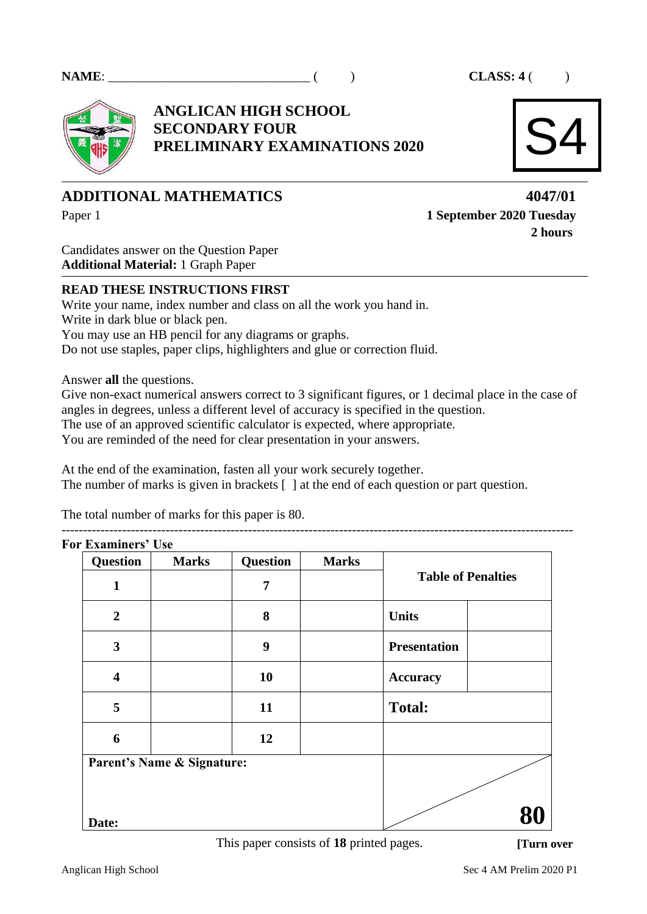

**ANGLICAN HIGH SCHOOL SECONDARY FOUR PRELIMINARY EXAMINATIONS 2020**



# **ADDITIONAL MATHEMATICS 4047/01**

Paper 1 **1 September 2020 Tuesday 2 hours**

Candidates answer on the Question Paper **Additional Material:** 1 Graph Paper

# **READ THESE INSTRUCTIONS FIRST**

Write your name, index number and class on all the work you hand in. Write in dark blue or black pen. You may use an HB pencil for any diagrams or graphs. Do not use staples, paper clips, highlighters and glue or correction fluid.

Answer **all** the questions.

Give non-exact numerical answers correct to 3 significant figures, or 1 decimal place in the case of angles in degrees, unless a different level of accuracy is specified in the question. The use of an approved scientific calculator is expected, where appropriate. You are reminded of the need for clear presentation in your answers.

----------------------------------------------------------------------------------------------------------------------

At the end of the examination, fasten all your work securely together. The number of marks is given in brackets [ ] at the end of each question or part question.

The total number of marks for this paper is 80.

| <b>Question</b>            | <b>Marks</b> | <b>Question</b> | <b>Marks</b> | <b>Table of Penalties</b> |  |
|----------------------------|--------------|-----------------|--------------|---------------------------|--|
| $\mathbf{1}$               |              | $\overline{7}$  |              |                           |  |
| $\overline{2}$             |              | 8               |              | <b>Units</b>              |  |
| $\mathbf{3}$               |              | 9               |              | <b>Presentation</b>       |  |
| $\overline{\mathbf{4}}$    |              | 10              |              | <b>Accuracy</b>           |  |
| 5                          |              | 11              |              | <b>Total:</b>             |  |
| 6                          |              | 12              |              |                           |  |
| Parent's Name & Signature: |              |                 |              |                           |  |
|                            |              |                 |              |                           |  |
|                            |              |                 |              |                           |  |

This paper consists of **18** printed pages.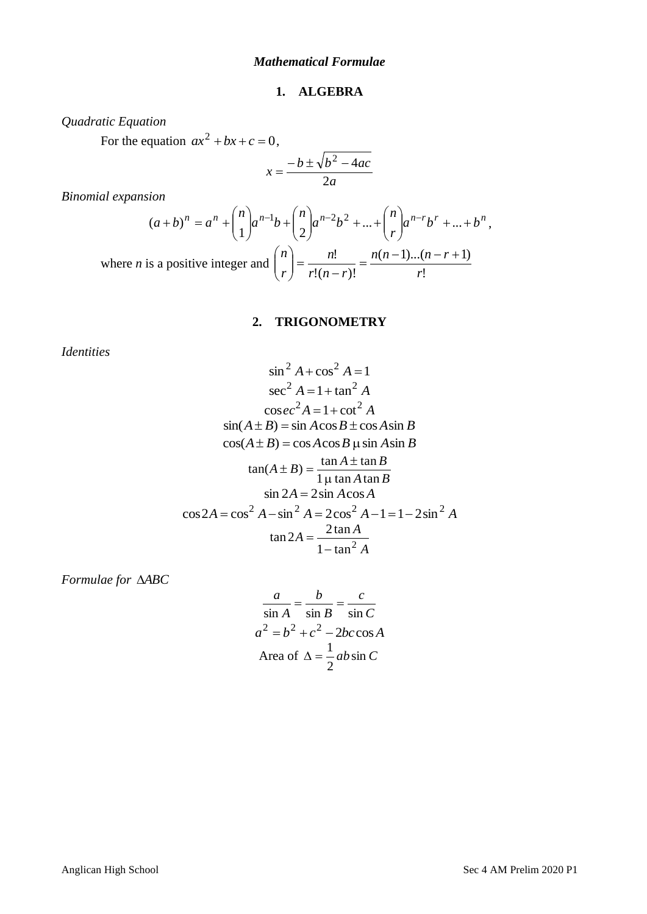# **1. ALGEBRA**

*Quadratic Equation*

For the equation  $ax^2 + bx + c = 0$ ,

$$
x = \frac{-b \pm \sqrt{b^2 - 4ac}}{2a}
$$

*Binomial expansion*

$$
(a+b)^n = a^n + \binom{n}{1}a^{n-1}b + \binom{n}{2}a^{n-2}b^2 + \dots + \binom{n}{r}a^{n-r}b^r + \dots + b^n,
$$
  
where *n* is a positive integer and 
$$
\binom{n}{r} = \frac{n!}{r!(n-r)!} = \frac{n(n-1)\dots(n-r+1)}{r!}
$$

# **2. TRIGONOMETRY**

*Identities*

$$
\sin^2 A + \cos^2 A = 1
$$
  
\n
$$
\sec^2 A = 1 + \tan^2 A
$$
  
\n
$$
\csc^2 A = 1 + \cot^2 A
$$
  
\n
$$
\sin(A \pm B) = \sin A \cos B \pm \cos A \sin B
$$
  
\n
$$
\cos(A \pm B) = \cos A \cos B \mu \sin A \sin B
$$
  
\n
$$
\tan(A \pm B) = \frac{\tan A \pm \tan B}{1 \mu \tan A \tan B}
$$
  
\n
$$
\sin 2A = 2 \sin A \cos A
$$
  
\n
$$
\cos 2A = \cos^2 A - \sin^2 A = 2 \cos^2 A - 1 = 1 - 2 \sin^2 A
$$
  
\n
$$
\tan 2A = \frac{2 \tan A}{1 - \tan^2 A}
$$

*Formulae for ABC*

$$
\frac{a}{\sin A} = \frac{b}{\sin B} = \frac{c}{\sin C}
$$
  

$$
a^2 = b^2 + c^2 - 2bc \cos A
$$
  
Area of  $\Delta = \frac{1}{2} ab \sin C$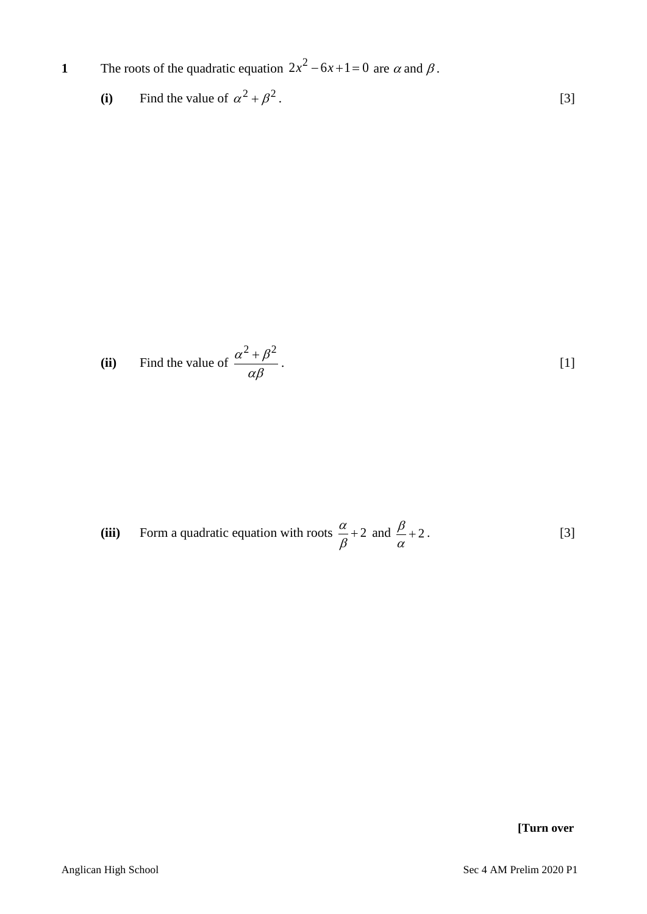**1** The roots of the quadratic equation  $2x^2 - 6x + 1 = 0$  are  $\alpha$  and  $\beta$ .

(i) Find the value of 
$$
\alpha^2 + \beta^2
$$
. [3]

(ii) Find the value of 
$$
\frac{\alpha^2 + \beta^2}{\alpha \beta}.
$$
 [1]

(iii) Form a quadratic equation with roots 
$$
\frac{\alpha}{\beta} + 2
$$
 and  $\frac{\beta}{\alpha} + 2$ . [3]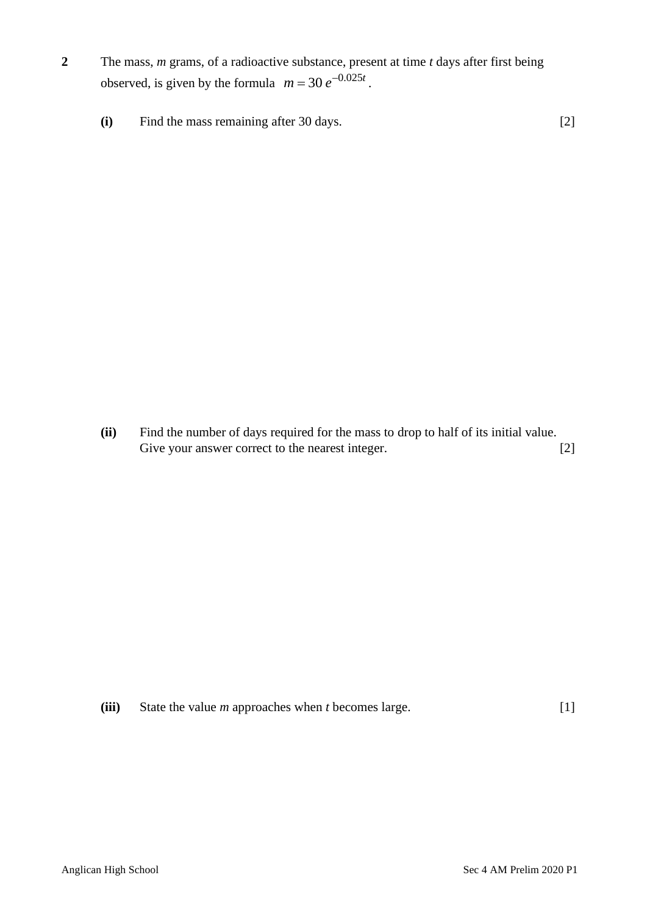- **2** The mass, *m* grams, of a radioactive substance, present at time *t* days after first being observed, is given by the formula  $m = 30 e^{-0.025t}$ .
	- **(i)** Find the mass remaining after 30 days. [2]

**(ii)** Find the number of days required for the mass to drop to half of its initial value. Give your answer correct to the nearest integer. [2]

**(iii)** State the value *m* approaches when *t* becomes large. [1]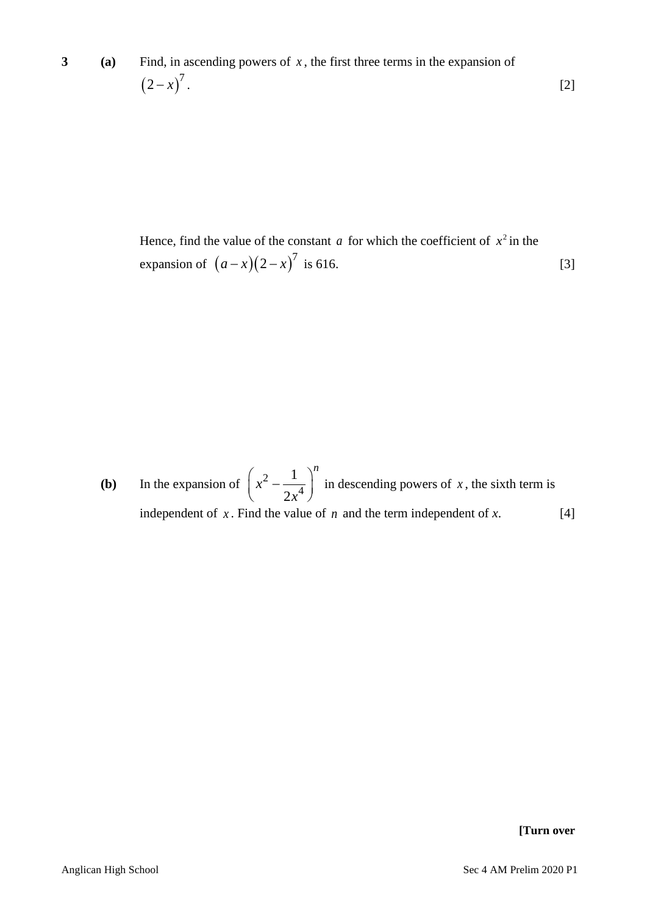Hence, find the value of the constant  $a$  for which the coefficient of  $x^2$  in the expansion of  $(a-x)(2-x)^7$  is 616. [3]

**(b)** In the expansion of  $\int x^2 dx$ 4 1 2 *n x x*  $\left(x^2 - \frac{1}{2x^4}\right)^n$  in descending powers of *x*, the sixth term is independent of  $x$ . Find the value of  $n$  and the term independent of  $x$ .  $[4]$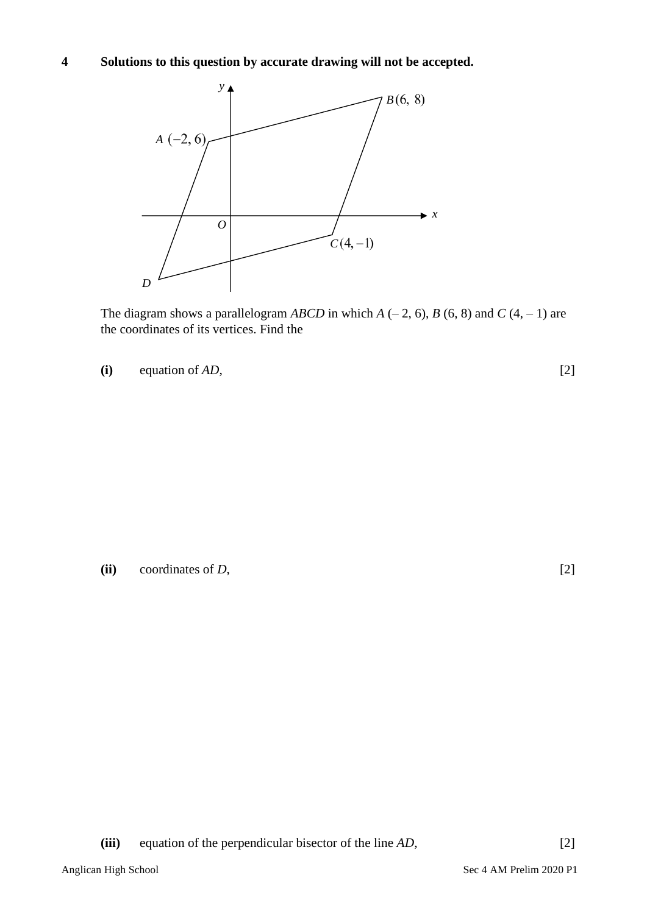# **4 Solutions to this question by accurate drawing will not be accepted.**



The diagram shows a parallelogram *ABCD* in which  $A(-2, 6)$ ,  $B(6, 8)$  and  $C(4, -1)$  are the coordinates of its vertices. Find the

**(i)** equation of *AD*, [2]

**(ii)** coordinates of *D*, [2]

**(iii)** equation of the perpendicular bisector of the line *AD*, [2]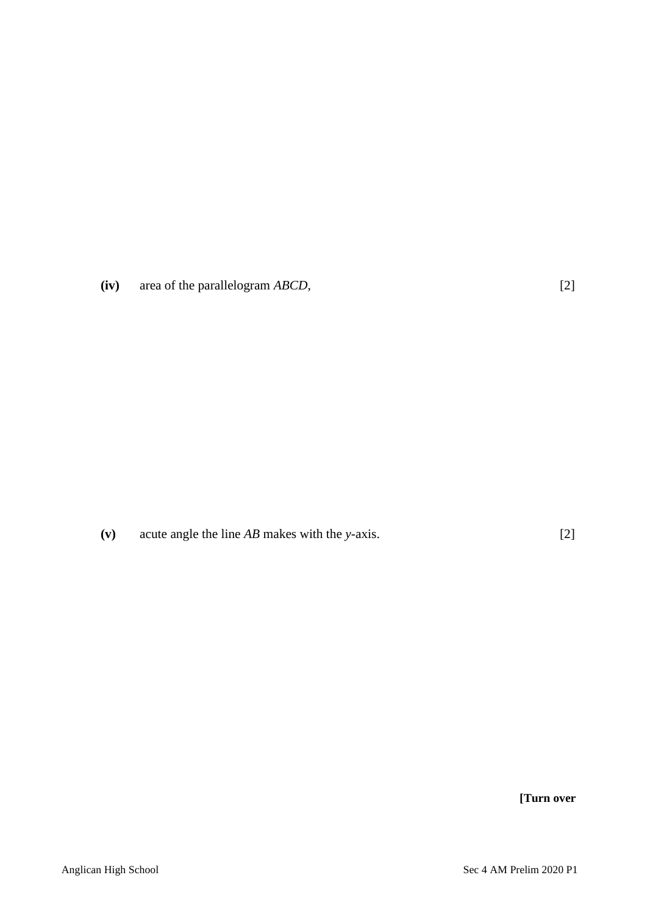**(iv)** area of the parallelogram *ABCD*, [2]

**(v)** acute angle the line *AB* makes with the *y*-axis. [2]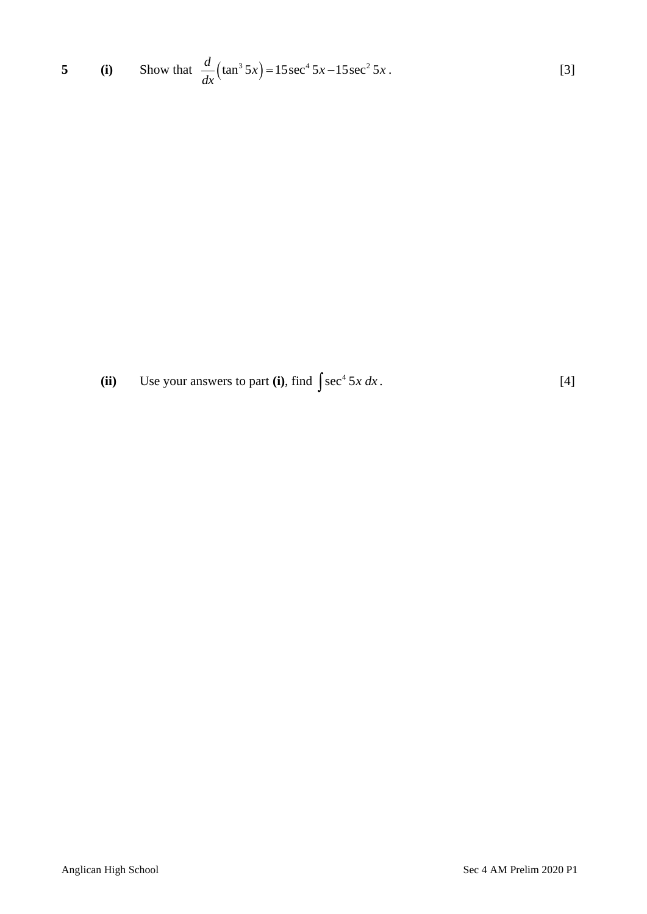5 (i) Show that 
$$
\frac{d}{dx}(\tan^3 5x) = 15\sec^4 5x - 15\sec^2 5x
$$
. [3]

**(ii)** Use your answers to part **(i)**, find  $\int \sec^4 5x \, dx$ .  $[4]$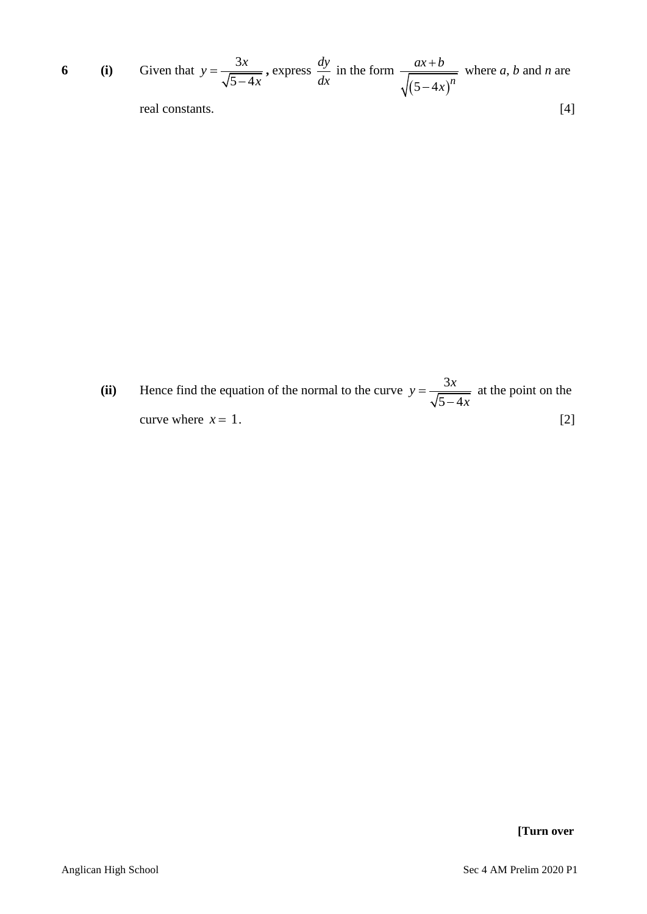6 (i) Given that 
$$
y = \frac{3x}{\sqrt{5-4x}}
$$
, express  $\frac{dy}{dx}$  in the form  $\frac{ax+b}{\sqrt{(5-4x)^n}}$  where *a*, *b* and *n* are real constants.

(ii) Hence find the equation of the normal to the curve  $y = \frac{3}{\sqrt{2}}$  $5 - 4$  $y = \frac{3x}{\sqrt{2}}$ *x* = − at the point on the curve where  $x = 1$ .  $x = 1.$  [2]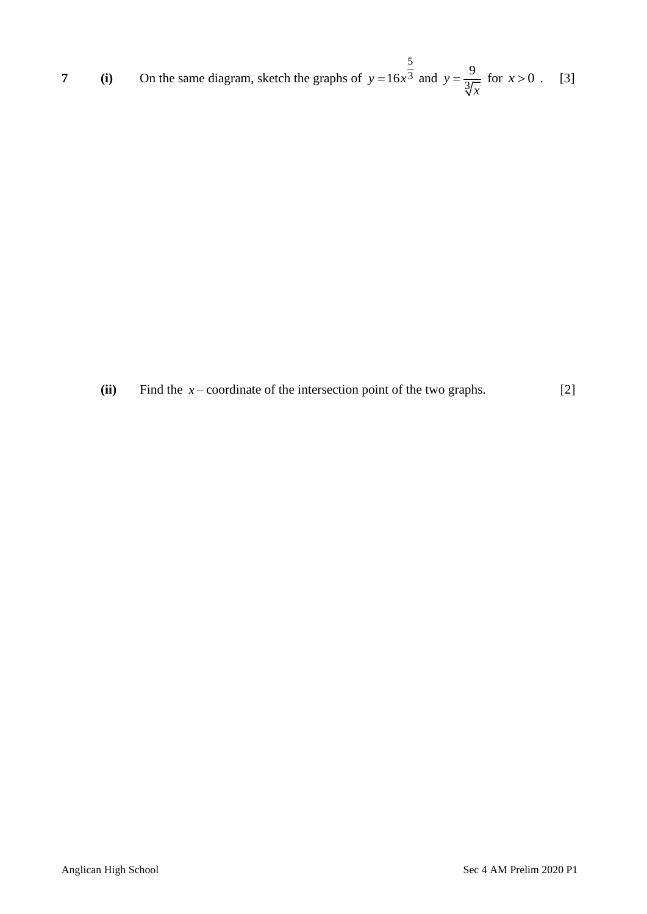7 (i) On the same diagram, sketch the graphs of 
$$
y = 16x^{\frac{5}{3}}
$$
 and  $y = \frac{9}{\sqrt[3]{x}}$  for  $x > 0$ . [3]

**(ii)** Find the *x* − coordinate of the intersection point of the two graphs. [2]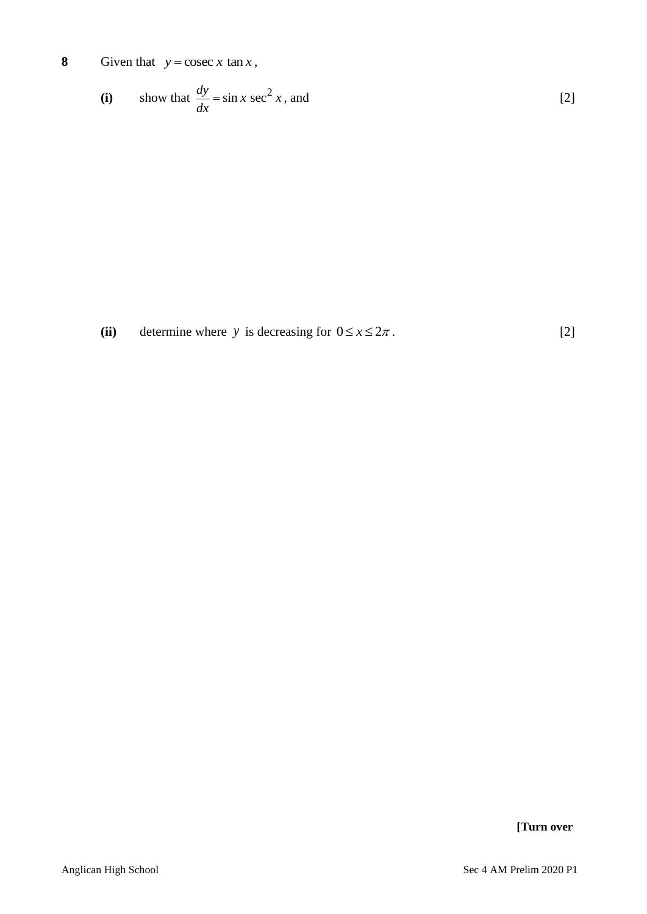**8** Given that  $y = \csc x \tan x$ ,

(i) show that 
$$
\frac{dy}{dx} = \sin x \sec^2 x
$$
, and [2]

(ii) determine where y is decreasing for  $0 \le x \le 2\pi$ . [2]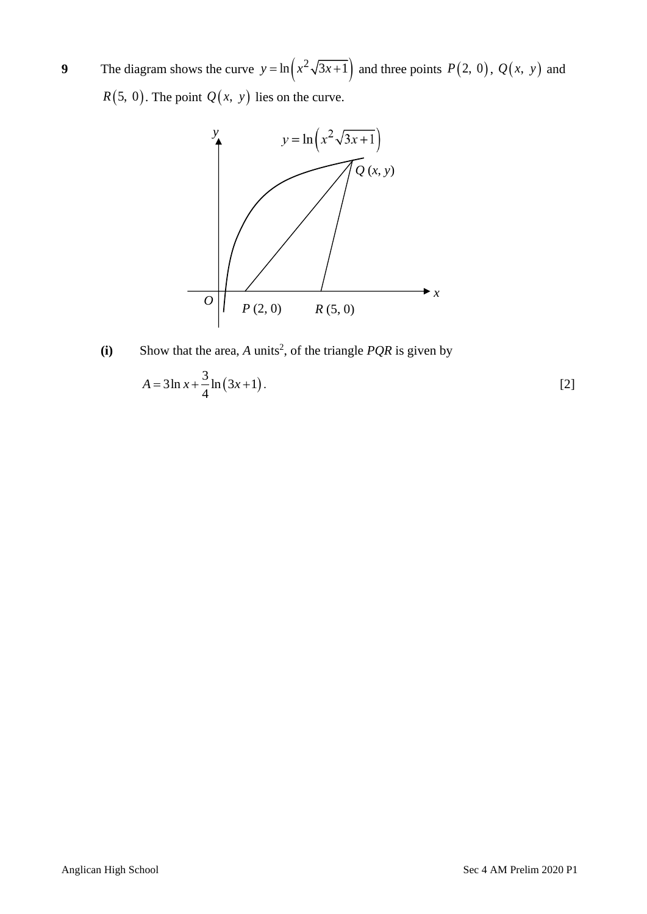**9** The diagram shows the curve  $y = \ln(x^2 \sqrt{3x+1})$  and three points  $P(2, 0)$ ,  $Q(x, y)$  and  $R(5, 0)$ . The point  $Q(x, y)$  lies on the curve.



(i) Show that the area, *A* units<sup>2</sup>, of the triangle *PQR* is given by

$$
A = 3\ln x + \frac{3}{4}\ln(3x+1).
$$
 [2]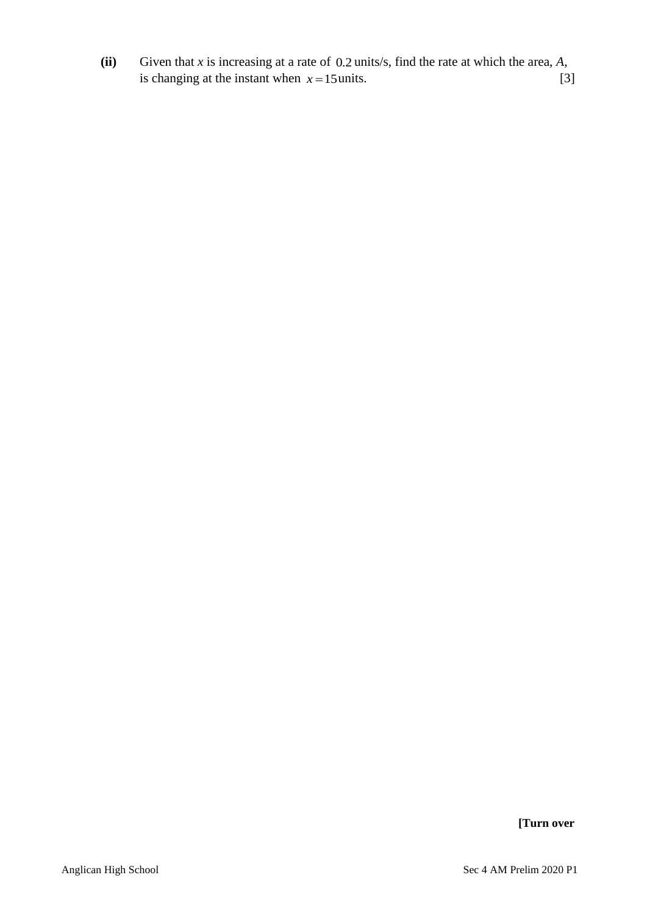**(ii)** Given that *x* is increasing at a rate of 0.2 units/s, find the rate at which the area, *A*, is changing at the instant when  $x = 15$  units. [3]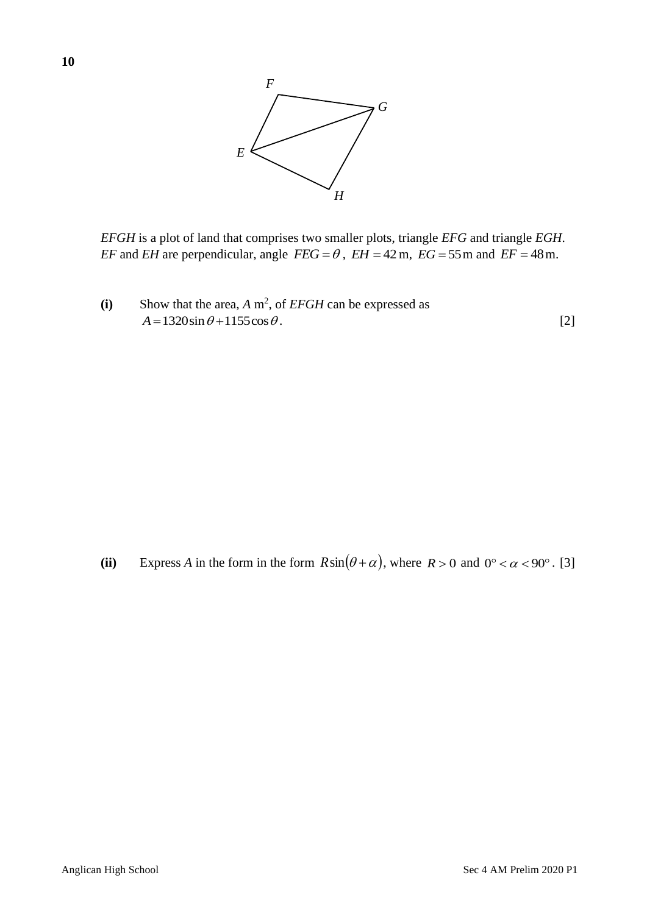

*EFGH* is a plot of land that comprises two smaller plots, triangle *EFG* and triangle *EGH*. *EF* and *EH* are perpendicular, angle  $FEG = \theta$ ,  $EH = 42$  m,  $EG = 55$  m and  $EF = 48$  m.

(i) Show that the area,  $A \text{ m}^2$ , of *EFGH* can be expressed as  $A = 1320\sin\theta + 1155\cos\theta$ . [2]

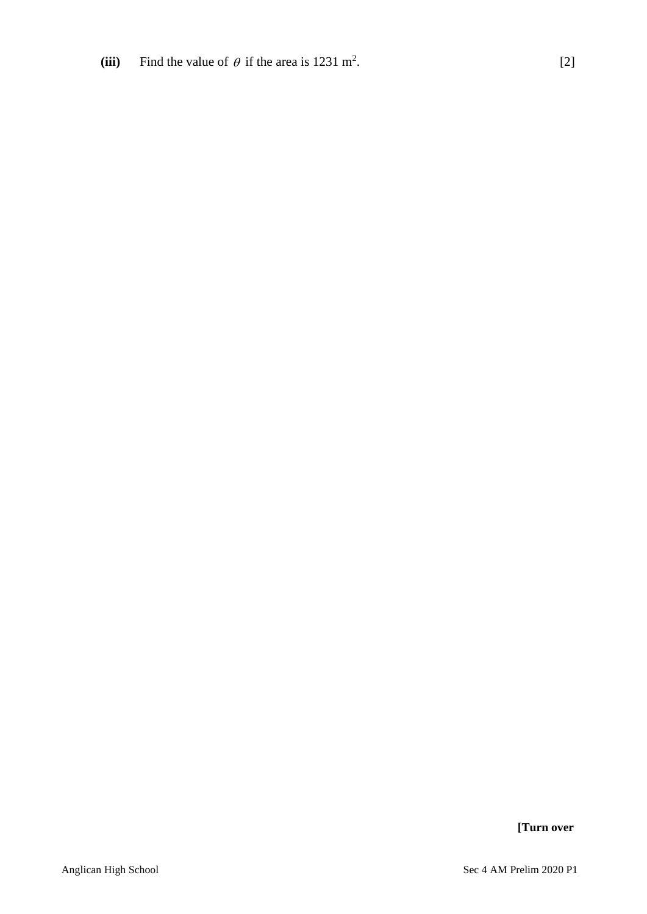(iii) Find the value of  $\theta$  if the area is 1231 m<sup>2</sup> .  $[2]$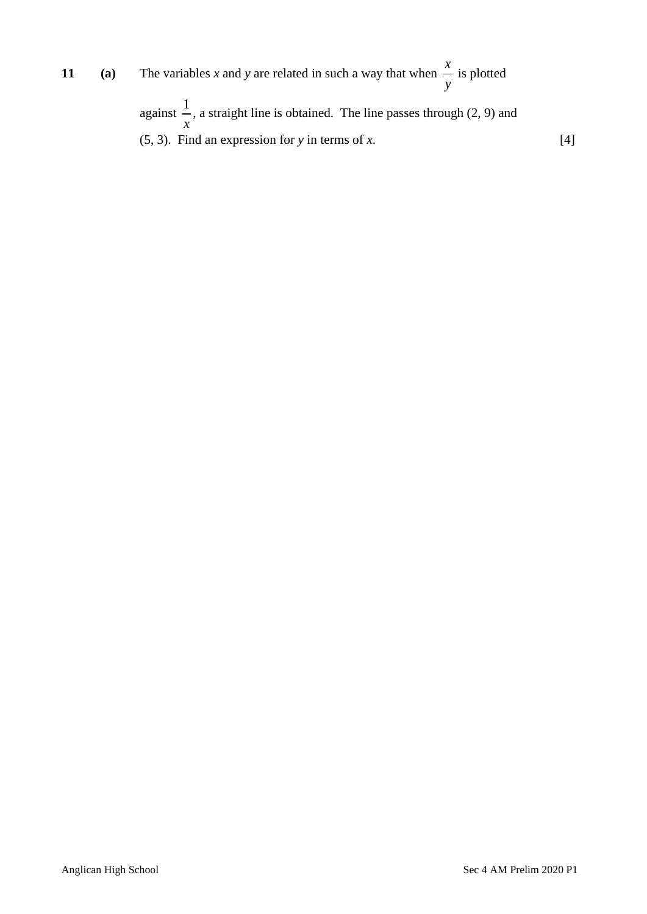**11 (a)** The variables *x* and *y* are related in such a way that when *x y* is plotted

> against  $\frac{1}{1}$ *x* , a straight line is obtained. The line passes through (2, 9) and (5, 3). Find an expression for *y* in terms of *x*. [4]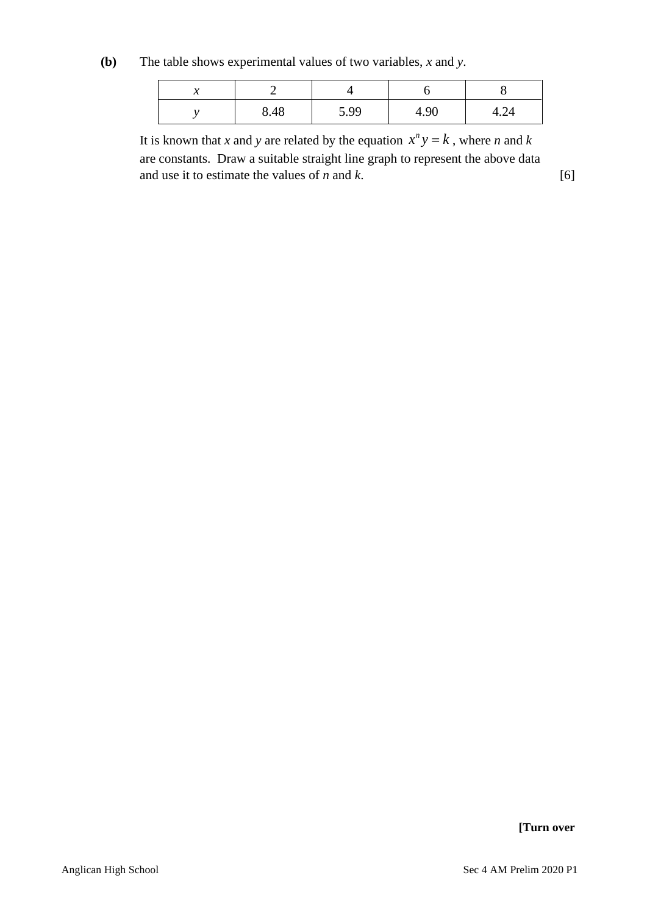**(b)** The table shows experimental values of two variables, *x* and *y*.

| <br>∼ |      |      |      |      |
|-------|------|------|------|------|
|       | 8.48 | 5.99 | 4.90 | 4.24 |

It is known that *x* and *y* are related by the equation  $x^n y = k$ , where *n* and *k* are constants. Draw a suitable straight line graph to represent the above data and use it to estimate the values of  $n$  and  $k$ . [6]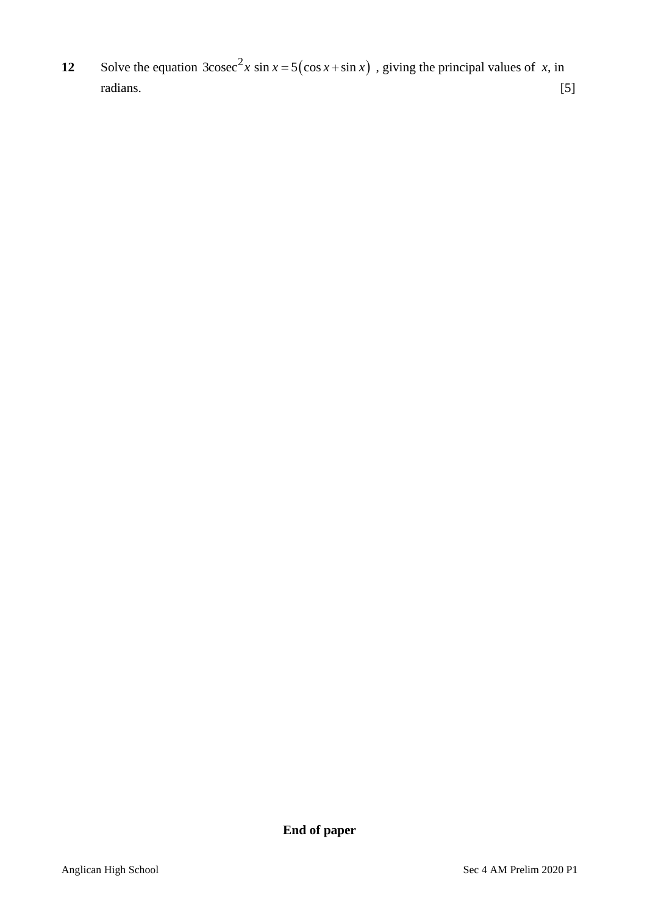12 Solve the equation  $3\csc^2 x \sin x = 5(\cos x + \sin x)$ 3cosec<sup>2</sup>x sin  $x = 5(\cos x + \sin x)$ , giving the principal values of x, in radians. [5]